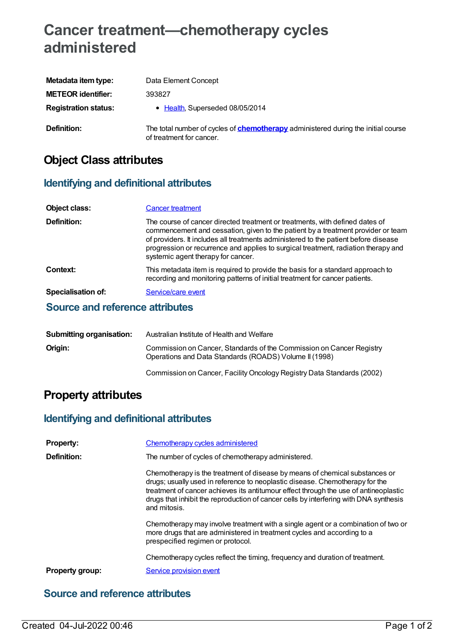# **Cancer treatment—chemotherapy cycles administered**

| Metadata item type:         | Data Element Concept                                                                                                 |
|-----------------------------|----------------------------------------------------------------------------------------------------------------------|
| <b>METEOR identifier:</b>   | 393827                                                                                                               |
| <b>Registration status:</b> | • Health, Superseded 08/05/2014                                                                                      |
| Definition:                 | The total number of cycles of <b>chemotherapy</b> administered during the initial course<br>of treatment for cancer. |

## **Object Class attributes**

#### **Identifying and definitional attributes**

| <b>Object class:</b>                   | <b>Cancer treatment</b>                                                                                                                                                                                                                                                                                                                                                             |
|----------------------------------------|-------------------------------------------------------------------------------------------------------------------------------------------------------------------------------------------------------------------------------------------------------------------------------------------------------------------------------------------------------------------------------------|
| Definition:                            | The course of cancer directed treatment or treatments, with defined dates of<br>commencement and cessation, given to the patient by a treatment provider or team<br>of providers. It includes all treatments administered to the patient before disease<br>progression or recurrence and applies to surgical treatment, radiation therapy and<br>systemic agent therapy for cancer. |
| Context:                               | This metadata item is required to provide the basis for a standard approach to<br>recording and monitoring patterns of initial treatment for cancer patients.                                                                                                                                                                                                                       |
| Specialisation of:                     | Service/care event                                                                                                                                                                                                                                                                                                                                                                  |
| <b>Source and reference attributes</b> |                                                                                                                                                                                                                                                                                                                                                                                     |

| Submitting organisation: | Australian Institute of Health and Welfare                                                                                     |
|--------------------------|--------------------------------------------------------------------------------------------------------------------------------|
| Origin:                  | Commission on Cancer, Standards of the Commission on Cancer Registry<br>Operations and Data Standards (ROADS) Volume II (1998) |
|                          | Commission on Cancer, Facility Oncology Registry Data Standards (2002)                                                         |

## **Property attributes**

### **Identifying and definitional attributes**

| <b>Property:</b>       | Chemotherapy cycles administered                                                                                                                                                                                                                                                                                                                             |
|------------------------|--------------------------------------------------------------------------------------------------------------------------------------------------------------------------------------------------------------------------------------------------------------------------------------------------------------------------------------------------------------|
| Definition:            | The number of cycles of chemotherapy administered.                                                                                                                                                                                                                                                                                                           |
|                        | Chemotherapy is the treatment of disease by means of chemical substances or<br>drugs; usually used in reference to neoplastic disease. Chemotherapy for the<br>treatment of cancer achieves its antitumour effect through the use of antineoplastic<br>drugs that inhibit the reproduction of cancer cells by interfering with DNA synthesis<br>and mitosis. |
|                        | Chemotherapy may involve treatment with a single agent or a combination of two or<br>more drugs that are administered in treatment cycles and according to a<br>prespecified regimen or protocol.                                                                                                                                                            |
|                        | Chemotherapy cycles reflect the timing, frequency and duration of treatment.                                                                                                                                                                                                                                                                                 |
| <b>Property group:</b> | Service provision event                                                                                                                                                                                                                                                                                                                                      |

#### **Source and reference attributes**